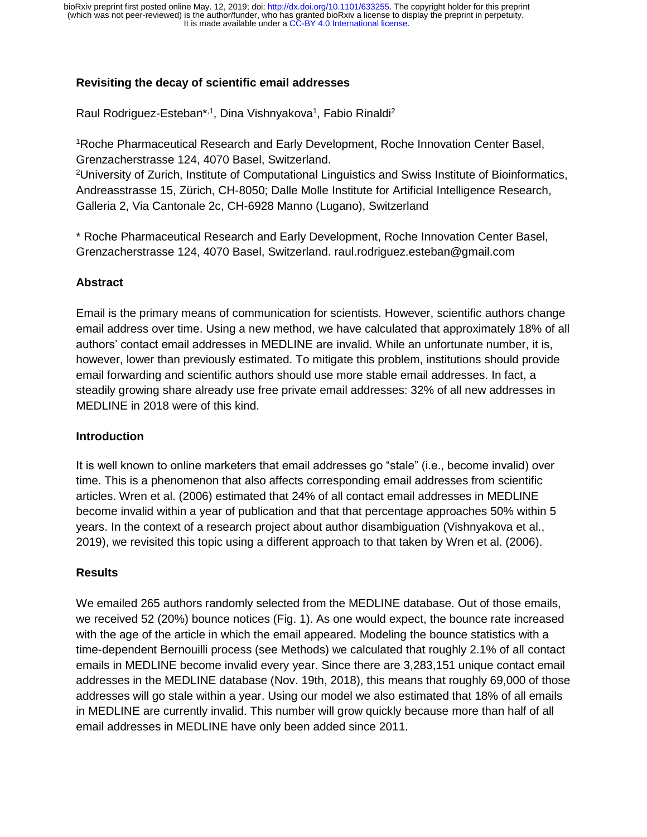# **Revisiting the decay of scientific email addresses**

Raul Rodriguez-Esteban\*,<sup>1</sup>, Dina Vishnyakova<sup>1</sup>, Fabio Rinaldi<sup>2</sup>

<sup>1</sup>Roche Pharmaceutical Research and Early Development, Roche Innovation Center Basel, Grenzacherstrasse 124, 4070 Basel, Switzerland.

<sup>2</sup>University of Zurich, Institute of Computational Linguistics and Swiss Institute of Bioinformatics, Andreasstrasse 15, Zürich, CH-8050; Dalle Molle Institute for Artificial Intelligence Research, Galleria 2, Via Cantonale 2c, CH-6928 Manno (Lugano), Switzerland

\* Roche Pharmaceutical Research and Early Development, Roche Innovation Center Basel, Grenzacherstrasse 124, 4070 Basel, Switzerland. raul.rodriguez.esteban@gmail.com

## **Abstract**

Email is the primary means of communication for scientists. However, scientific authors change email address over time. Using a new method, we have calculated that approximately 18% of all authors' contact email addresses in MEDLINE are invalid. While an unfortunate number, it is, however, lower than previously estimated. To mitigate this problem, institutions should provide email forwarding and scientific authors should use more stable email addresses. In fact, a steadily growing share already use free private email addresses: 32% of all new addresses in MEDLINE in 2018 were of this kind.

### **Introduction**

It is well known to online marketers that email addresses go "stale" (i.e., become invalid) over time. This is a phenomenon that also affects corresponding email addresses from scientific articles. Wren et al. (2006) estimated that 24% of all contact email addresses in MEDLINE become invalid within a year of publication and that that percentage approaches 50% within 5 years. In the context of a research project about author disambiguation (Vishnyakova et al., 2019), we revisited this topic using a different approach to that taken by Wren et al. (2006).

## **Results**

We emailed 265 authors randomly selected from the MEDLINE database. Out of those emails, we received 52 (20%) bounce notices (Fig. 1). As one would expect, the bounce rate increased with the age of the article in which the email appeared. Modeling the bounce statistics with a time-dependent Bernouilli process (see Methods) we calculated that roughly 2.1% of all contact emails in MEDLINE become invalid every year. Since there are 3,283,151 unique contact email addresses in the MEDLINE database (Nov. 19th, 2018), this means that roughly 69,000 of those addresses will go stale within a year. Using our model we also estimated that 18% of all emails in MEDLINE are currently invalid. This number will grow quickly because more than half of all email addresses in MEDLINE have only been added since 2011.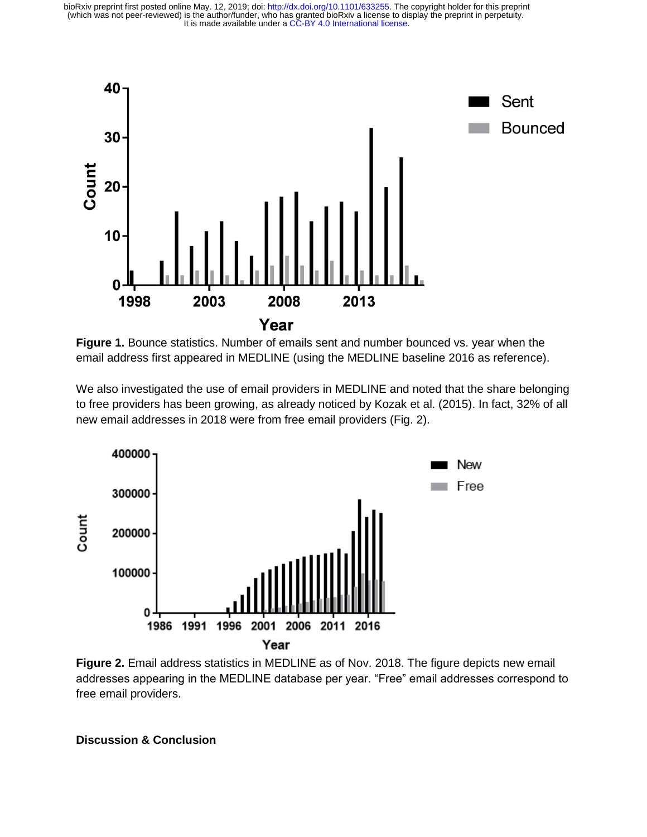

**Figure 1.** Bounce statistics. Number of emails sent and number bounced vs. year when the email address first appeared in MEDLINE (using the MEDLINE baseline 2016 as reference).

We also investigated the use of email providers in MEDLINE and noted that the share belonging to free providers has been growing, as already noticed by Kozak et al. (2015). In fact, 32% of all new email addresses in 2018 were from free email providers (Fig. 2).



**Figure 2.** Email address statistics in MEDLINE as of Nov. 2018. The figure depicts new email addresses appearing in the MEDLINE database per year. "Free" email addresses correspond to free email providers.

**Discussion & Conclusion**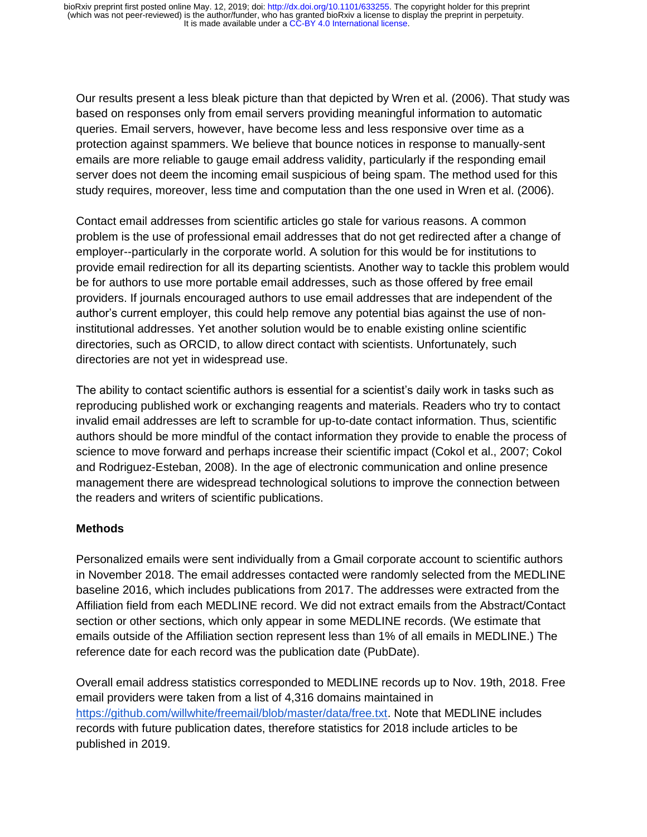Our results present a less bleak picture than that depicted by Wren et al. (2006). That study was based on responses only from email servers providing meaningful information to automatic queries. Email servers, however, have become less and less responsive over time as a protection against spammers. We believe that bounce notices in response to manually-sent emails are more reliable to gauge email address validity, particularly if the responding email server does not deem the incoming email suspicious of being spam. The method used for this study requires, moreover, less time and computation than the one used in Wren et al. (2006).

Contact email addresses from scientific articles go stale for various reasons. A common problem is the use of professional email addresses that do not get redirected after a change of employer--particularly in the corporate world. A solution for this would be for institutions to provide email redirection for all its departing scientists. Another way to tackle this problem would be for authors to use more portable email addresses, such as those offered by free email providers. If journals encouraged authors to use email addresses that are independent of the author's current employer, this could help remove any potential bias against the use of noninstitutional addresses. Yet another solution would be to enable existing online scientific directories, such as ORCID, to allow direct contact with scientists. Unfortunately, such directories are not yet in widespread use.

The ability to contact scientific authors is essential for a scientist's daily work in tasks such as reproducing published work or exchanging reagents and materials. Readers who try to contact invalid email addresses are left to scramble for up-to-date contact information. Thus, scientific authors should be more mindful of the contact information they provide to enable the process of science to move forward and perhaps increase their scientific impact (Cokol et al., 2007; Cokol and Rodriguez-Esteban, 2008). In the age of electronic communication and online presence management there are widespread technological solutions to improve the connection between the readers and writers of scientific publications.

## **Methods**

Personalized emails were sent individually from a Gmail corporate account to scientific authors in November 2018. The email addresses contacted were randomly selected from the MEDLINE baseline 2016, which includes publications from 2017. The addresses were extracted from the Affiliation field from each MEDLINE record. We did not extract emails from the Abstract/Contact section or other sections, which only appear in some MEDLINE records. (We estimate that emails outside of the Affiliation section represent less than 1% of all emails in MEDLINE.) The reference date for each record was the publication date (PubDate).

Overall email address statistics corresponded to MEDLINE records up to Nov. 19th, 2018. Free email providers were taken from a list of 4,316 domains maintained in [https://github.com/willwhite/freemail/blob/master/data/free.txt.](https://github.com/willwhite/freemail/blob/master/data/free.txt) Note that MEDLINE includes records with future publication dates, therefore statistics for 2018 include articles to be published in 2019.